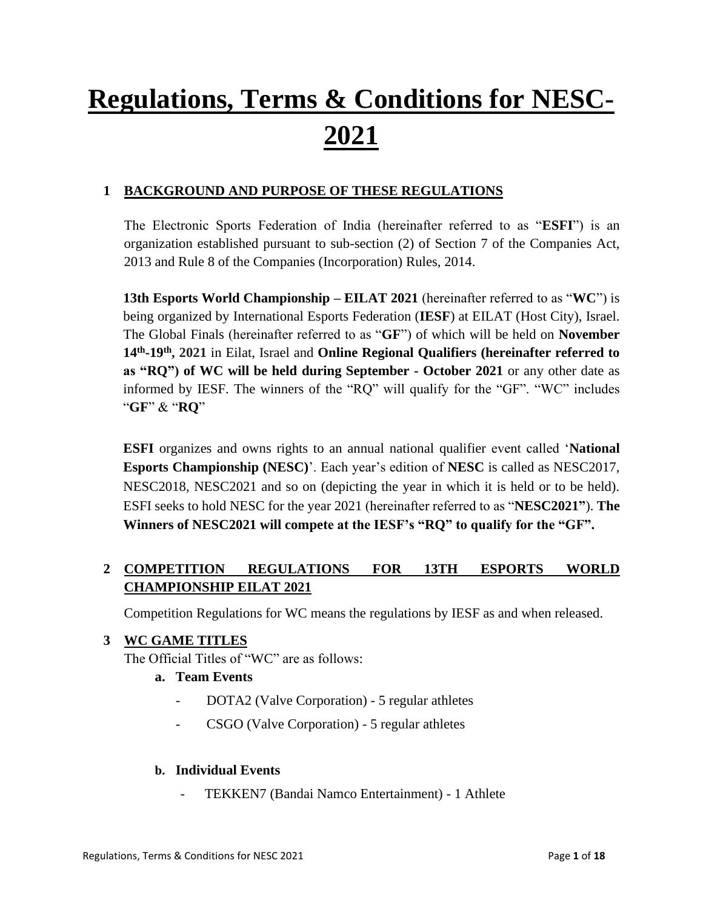# **Regulations, Terms & Conditions for NESC-2021**

# **1 BACKGROUND AND PURPOSE OF THESE REGULATIONS**

The Electronic Sports Federation of India (hereinafter referred to as "**ESFI**") is an organization established pursuant to sub-section (2) of Section 7 of the Companies Act, 2013 and Rule 8 of the Companies (Incorporation) Rules, 2014.

**13th Esports World Championship – EILAT 2021** (hereinafter referred to as "**WC**") is being organized by International Esports Federation (**IESF**) at EILAT (Host City), Israel. The Global Finals (hereinafter referred to as "**GF**") of which will be held on **November 14th -19 th, 2021** in Eilat, Israel and **Online Regional Qualifiers (hereinafter referred to as "RQ") of WC will be held during September - October 2021** or any other date as informed by IESF. The winners of the "RQ" will qualify for the "GF". "WC" includes "**GF**" & "**RQ**"

**ESFI** organizes and owns rights to an annual national qualifier event called '**National Esports Championship (NESC)**'. Each year's edition of **NESC** is called as NESC2017, NESC2018, NESC2021 and so on (depicting the year in which it is held or to be held). ESFI seeks to hold NESC for the year 2021 (hereinafter referred to as "**NESC2021"**). **The Winners of NESC2021 will compete at the IESF's "RQ" to qualify for the "GF".**

# **2 COMPETITION REGULATIONS FOR 13TH ESPORTS WORLD CHAMPIONSHIP EILAT 2021**

Competition Regulations for WC means the regulations by IESF as and when released.

## **3 WC GAME TITLES**

The Official Titles of "WC" are as follows:

#### **a. Team Events**

- DOTA2 (Valve Corporation) 5 regular athletes
- CSGO (Valve Corporation) 5 regular athletes

#### **b. Individual Events**

TEKKEN7 (Bandai Namco Entertainment) - 1 Athlete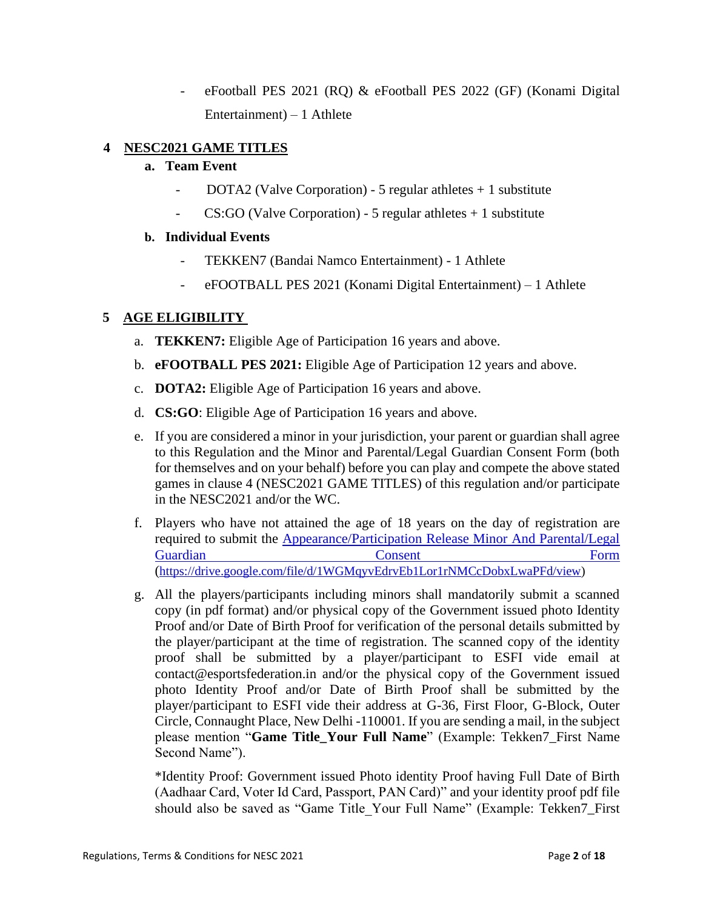- eFootball PES 2021 (RQ) & eFootball PES 2022 (GF) (Konami Digital Entertainment) – 1 Athlete

#### **4 NESC2021 GAME TITLES**

#### **a. Team Event**

- DOTA2 (Valve Corporation) 5 regular athletes  $+1$  substitute
- $CS: GO$  (Valve Corporation) 5 regular athletes  $+1$  substitute

#### **b. Individual Events**

- TEKKEN7 (Bandai Namco Entertainment) 1 Athlete
- eFOOTBALL PES 2021 (Konami Digital Entertainment) 1 Athlete

## **5 AGE ELIGIBILITY**

- a. **TEKKEN7:** Eligible Age of Participation 16 years and above.
- b. **eFOOTBALL PES 2021:** Eligible Age of Participation 12 years and above.
- c. **DOTA2:** Eligible Age of Participation 16 years and above.
- d. **CS:GO**: Eligible Age of Participation 16 years and above.
- e. If you are considered a minor in your jurisdiction, your parent or guardian shall agree to this Regulation and the Minor and Parental/Legal Guardian Consent Form (both for themselves and on your behalf) before you can play and compete the above stated games in clause 4 (NESC2021 GAME TITLES) of this regulation and/or participate in the NESC2021 and/or the WC.
- f. Players who have not attained the age of 18 years on the day of registration are required to submit the [Appearance/Participation Release Minor And Parental/Legal](https://drive.google.com/file/d/1WGMqyvEdrvEb1Lor1rNMCcDobxLwaPFd/view)  Guardian **Consent Consent Form** ([https://drive.google.com/file/d/1WGMqyvEdrvEb1Lor1rNMCcDobxLwaPFd/view\)](https://drive.google.com/file/d/1WGMqyvEdrvEb1Lor1rNMCcDobxLwaPFd/view)
- g. All the players/participants including minors shall mandatorily submit a scanned copy (in pdf format) and/or physical copy of the Government issued photo Identity Proof and/or Date of Birth Proof for verification of the personal details submitted by the player/participant at the time of registration. The scanned copy of the identity proof shall be submitted by a player/participant to ESFI vide email at contact@esportsfederation.in and/or the physical copy of the Government issued photo Identity Proof and/or Date of Birth Proof shall be submitted by the player/participant to ESFI vide their address at G-36, First Floor, G-Block, Outer Circle, Connaught Place, New Delhi -110001. If you are sending a mail, in the subject please mention "**Game Title\_Your Full Name**" (Example: Tekken7\_First Name Second Name").

\*Identity Proof: Government issued Photo identity Proof having Full Date of Birth (Aadhaar Card, Voter Id Card, Passport, PAN Card)" and your identity proof pdf file should also be saved as "Game Title\_Your Full Name" (Example: Tekken7\_First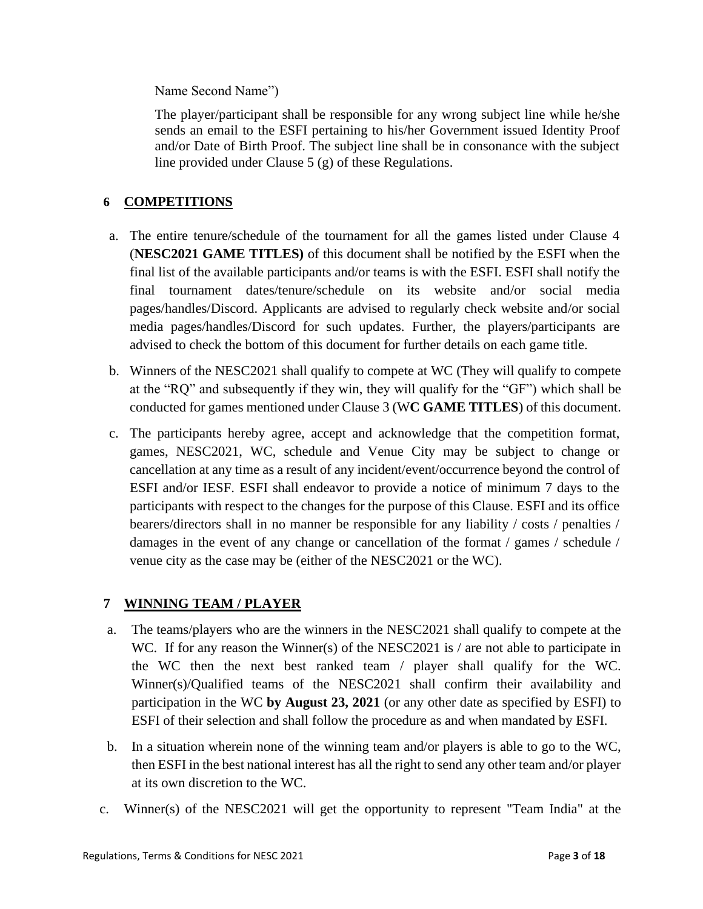Name Second Name")

The player/participant shall be responsible for any wrong subject line while he/she sends an email to the ESFI pertaining to his/her Government issued Identity Proof and/or Date of Birth Proof. The subject line shall be in consonance with the subject line provided under Clause 5 (g) of these Regulations.

# **6 COMPETITIONS**

- a. The entire tenure/schedule of the tournament for all the games listed under Clause 4 (**NESC2021 GAME TITLES)** of this document shall be notified by the ESFI when the final list of the available participants and/or teams is with the ESFI. ESFI shall notify the final tournament dates/tenure/schedule on its website and/or social media pages/handles/Discord. Applicants are advised to regularly check website and/or social media pages/handles/Discord for such updates. Further, the players/participants are advised to check the bottom of this document for further details on each game title.
- b. Winners of the NESC2021 shall qualify to compete at WC (They will qualify to compete at the "RQ" and subsequently if they win, they will qualify for the "GF") which shall be conducted for games mentioned under Clause 3 (W**C GAME TITLES**) of this document.
- c. The participants hereby agree, accept and acknowledge that the competition format, games, NESC2021, WC, schedule and Venue City may be subject to change or cancellation at any time as a result of any incident/event/occurrence beyond the control of ESFI and/or IESF. ESFI shall endeavor to provide a notice of minimum 7 days to the participants with respect to the changes for the purpose of this Clause. ESFI and its office bearers/directors shall in no manner be responsible for any liability / costs / penalties / damages in the event of any change or cancellation of the format / games / schedule / venue city as the case may be (either of the NESC2021 or the WC).

#### **7 WINNING TEAM / PLAYER**

- a. The teams/players who are the winners in the NESC2021 shall qualify to compete at the WC. If for any reason the Winner(s) of the NESC2021 is  $\ell$  are not able to participate in the WC then the next best ranked team / player shall qualify for the WC. Winner(s)/Qualified teams of the NESC2021 shall confirm their availability and participation in the WC **by August 23, 2021** (or any other date as specified by ESFI) to ESFI of their selection and shall follow the procedure as and when mandated by ESFI.
- b. In a situation wherein none of the winning team and/or players is able to go to the WC, then ESFI in the best national interest has all the right to send any other team and/or player at its own discretion to the WC.
- c. Winner(s) of the NESC2021 will get the opportunity to represent "Team India" at the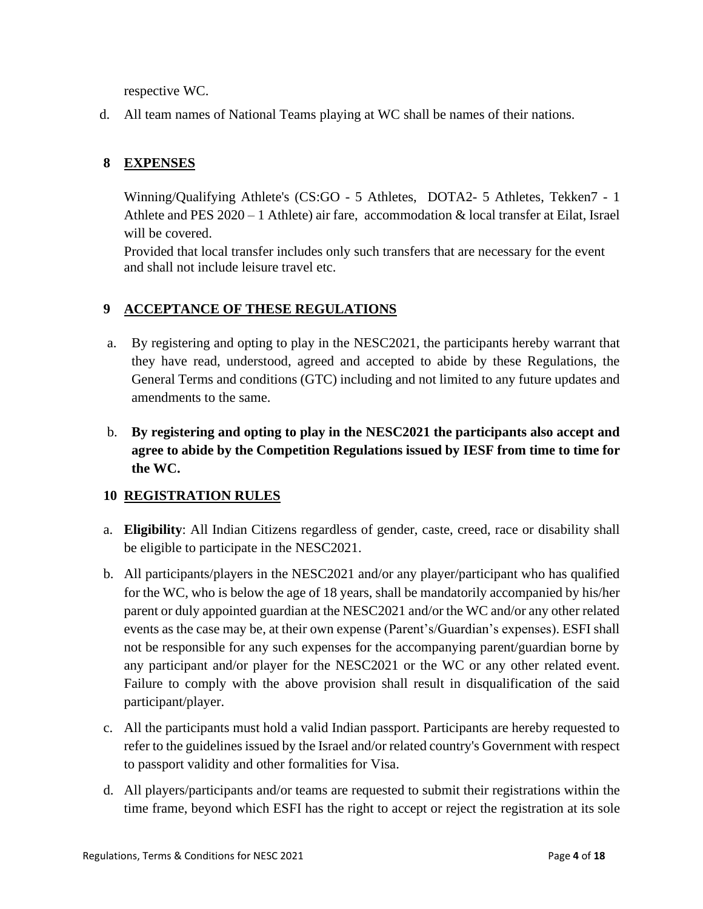respective WC.

d. All team names of National Teams playing at WC shall be names of their nations.

# **8 EXPENSES**

Winning/Qualifying Athlete's (CS:GO - 5 Athletes, DOTA2- 5 Athletes, Tekken7 - 1 Athlete and PES 2020 – 1 Athlete) air fare, accommodation & local transfer at Eilat, Israel will be covered.

Provided that local transfer includes only such transfers that are necessary for the event and shall not include leisure travel etc.

# **9 ACCEPTANCE OF THESE REGULATIONS**

- a. By registering and opting to play in the NESC2021, the participants hereby warrant that they have read, understood, agreed and accepted to abide by these Regulations, the General Terms and conditions (GTC) including and not limited to any future updates and amendments to the same.
- b. **By registering and opting to play in the NESC2021 the participants also accept and agree to abide by the Competition Regulations issued by IESF from time to time for the WC.**

## **10 REGISTRATION RULES**

- a. **Eligibility**: All Indian Citizens regardless of gender, caste, creed, race or disability shall be eligible to participate in the NESC2021.
- b. All participants/players in the NESC2021 and/or any player/participant who has qualified for the WC, who is below the age of 18 years, shall be mandatorily accompanied by his/her parent or duly appointed guardian at the NESC2021 and/or the WC and/or any other related events as the case may be, at their own expense (Parent's/Guardian's expenses). ESFI shall not be responsible for any such expenses for the accompanying parent/guardian borne by any participant and/or player for the NESC2021 or the WC or any other related event. Failure to comply with the above provision shall result in disqualification of the said participant/player.
- c. All the participants must hold a valid Indian passport. Participants are hereby requested to refer to the guidelines issued by the Israel and/or related country's Government with respect to passport validity and other formalities for Visa.
- d. All players/participants and/or teams are requested to submit their registrations within the time frame, beyond which ESFI has the right to accept or reject the registration at its sole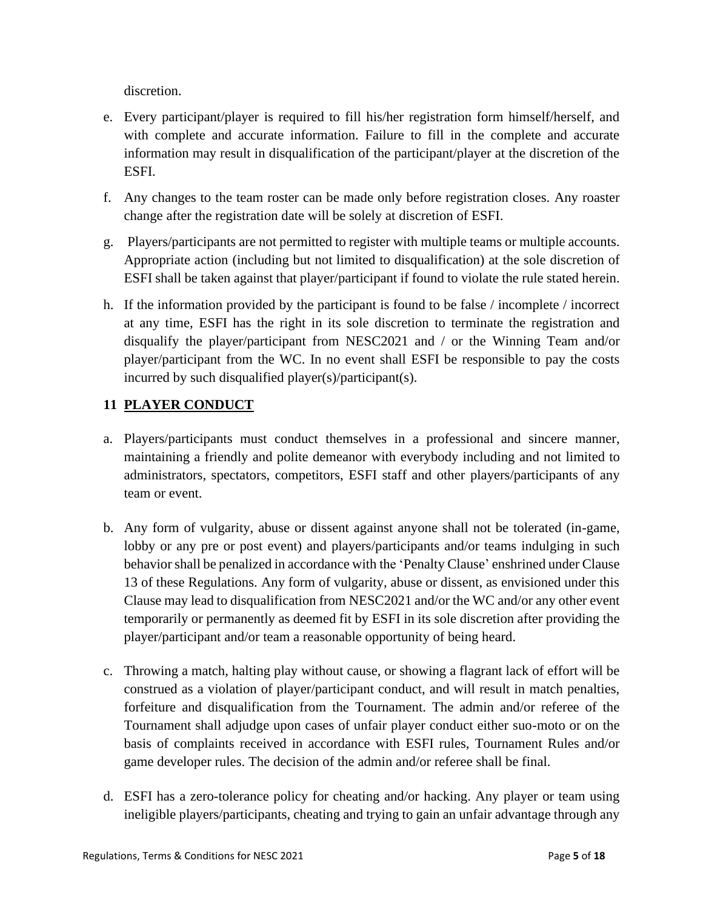discretion.

- e. Every participant/player is required to fill his/her registration form himself/herself, and with complete and accurate information. Failure to fill in the complete and accurate information may result in disqualification of the participant/player at the discretion of the ESFI.
- f. Any changes to the team roster can be made only before registration closes. Any roaster change after the registration date will be solely at discretion of ESFI.
- g. Players/participants are not permitted to register with multiple teams or multiple accounts. Appropriate action (including but not limited to disqualification) at the sole discretion of ESFI shall be taken against that player/participant if found to violate the rule stated herein.
- h. If the information provided by the participant is found to be false / incomplete / incorrect at any time, ESFI has the right in its sole discretion to terminate the registration and disqualify the player/participant from NESC2021 and / or the Winning Team and/or player/participant from the WC. In no event shall ESFI be responsible to pay the costs incurred by such disqualified player(s)/participant(s).

# **11 PLAYER CONDUCT**

- a. Players/participants must conduct themselves in a professional and sincere manner, maintaining a friendly and polite demeanor with everybody including and not limited to administrators, spectators, competitors, ESFI staff and other players/participants of any team or event.
- b. Any form of vulgarity, abuse or dissent against anyone shall not be tolerated (in-game, lobby or any pre or post event) and players/participants and/or teams indulging in such behavior shall be penalized in accordance with the 'Penalty Clause' enshrined under Clause 13 of these Regulations. Any form of vulgarity, abuse or dissent, as envisioned under this Clause may lead to disqualification from NESC2021 and/or the WC and/or any other event temporarily or permanently as deemed fit by ESFI in its sole discretion after providing the player/participant and/or team a reasonable opportunity of being heard.
- c. Throwing a match, halting play without cause, or showing a flagrant lack of effort will be construed as a violation of player/participant conduct, and will result in match penalties, forfeiture and disqualification from the Tournament. The admin and/or referee of the Tournament shall adjudge upon cases of unfair player conduct either suo-moto or on the basis of complaints received in accordance with ESFI rules, Tournament Rules and/or game developer rules. The decision of the admin and/or referee shall be final.
- d. ESFI has a zero-tolerance policy for cheating and/or hacking. Any player or team using ineligible players/participants, cheating and trying to gain an unfair advantage through any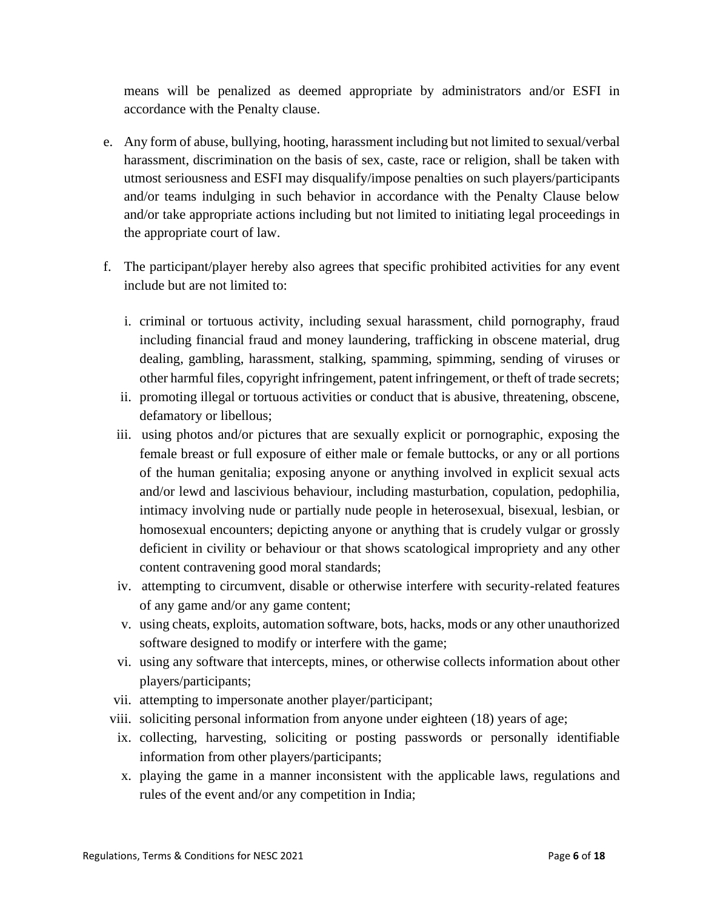means will be penalized as deemed appropriate by administrators and/or ESFI in accordance with the Penalty clause.

- e. Any form of abuse, bullying, hooting, harassment including but not limited to sexual/verbal harassment, discrimination on the basis of sex, caste, race or religion, shall be taken with utmost seriousness and ESFI may disqualify/impose penalties on such players/participants and/or teams indulging in such behavior in accordance with the Penalty Clause below and/or take appropriate actions including but not limited to initiating legal proceedings in the appropriate court of law.
- f. The participant/player hereby also agrees that specific prohibited activities for any event include but are not limited to:
	- i. criminal or tortuous activity, including sexual harassment, child pornography, fraud including financial fraud and money laundering, trafficking in obscene material, drug dealing, gambling, harassment, stalking, spamming, spimming, sending of viruses or other harmful files, copyright infringement, patent infringement, or theft of trade secrets;
	- ii. promoting illegal or tortuous activities or conduct that is abusive, threatening, obscene, defamatory or libellous;
	- iii. using photos and/or pictures that are sexually explicit or pornographic, exposing the female breast or full exposure of either male or female buttocks, or any or all portions of the human genitalia; exposing anyone or anything involved in explicit sexual acts and/or lewd and lascivious behaviour, including masturbation, copulation, pedophilia, intimacy involving nude or partially nude people in heterosexual, bisexual, lesbian, or homosexual encounters; depicting anyone or anything that is crudely vulgar or grossly deficient in civility or behaviour or that shows scatological impropriety and any other content contravening good moral standards;
	- iv. attempting to circumvent, disable or otherwise interfere with security-related features of any game and/or any game content;
	- v. using cheats, exploits, automation software, bots, hacks, mods or any other unauthorized software designed to modify or interfere with the game;
	- vi. using any software that intercepts, mines, or otherwise collects information about other players/participants;
	- vii. attempting to impersonate another player/participant;
	- viii. soliciting personal information from anyone under eighteen (18) years of age;
	- ix. collecting, harvesting, soliciting or posting passwords or personally identifiable information from other players/participants;
	- x. playing the game in a manner inconsistent with the applicable laws, regulations and rules of the event and/or any competition in India;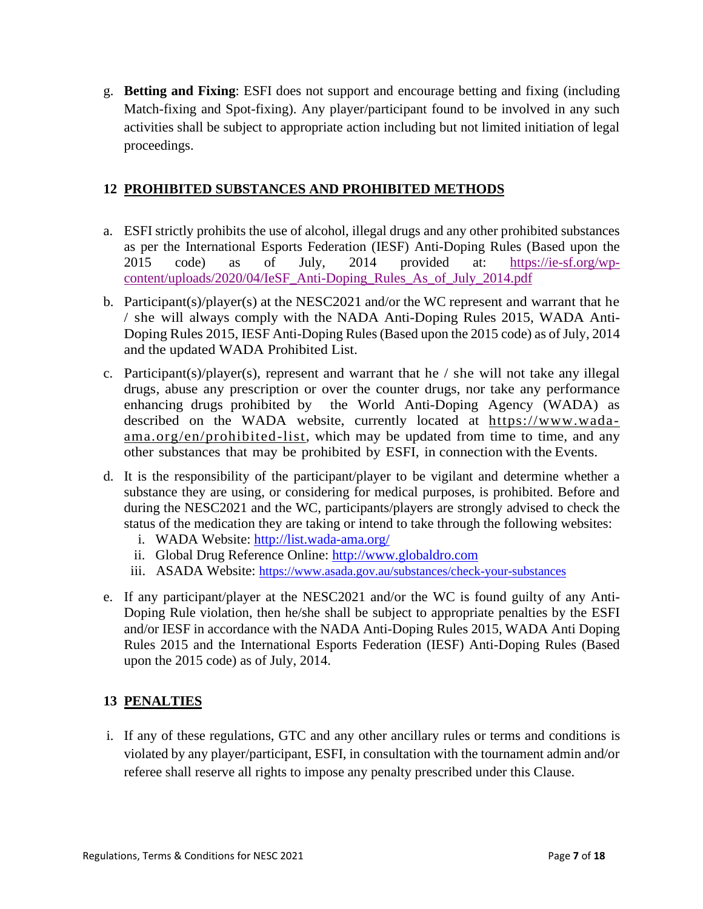g. **Betting and Fixing**: ESFI does not support and encourage betting and fixing (including Match-fixing and Spot-fixing). Any player/participant found to be involved in any such activities shall be subject to appropriate action including but not limited initiation of legal proceedings.

# **12 PROHIBITED SUBSTANCES AND PROHIBITED METHODS**

- a. ESFI strictly prohibits the use of alcohol, illegal drugs and any other prohibited substances as per the International Esports Federation (IESF) Anti-Doping Rules (Based upon the 2015 code) as of July, 2014 provided at: [https://ie-sf.org/wp](https://ie-sf.org/wp-content/uploads/2020/04/IeSF_Anti-Doping_Rules_As_of_July_2014.pdf)[content/uploads/2020/04/IeSF\\_Anti-Doping\\_Rules\\_As\\_of\\_July\\_2014.pdf](https://ie-sf.org/wp-content/uploads/2020/04/IeSF_Anti-Doping_Rules_As_of_July_2014.pdf)
- b. Participant(s)/player(s) at the NESC2021 and/or the WC represent and warrant that he / she will always comply with the NADA Anti-Doping Rules 2015, WADA Anti-Doping Rules 2015, IESF Anti-Doping Rules (Based upon the 2015 code) as of July, 2014 and the updated WADA Prohibited List.
- c. Participant(s)/player(s), represent and warrant that he / she will not take any illegal drugs, abuse any prescription or over the counter drugs, nor take any performance enhancing drugs prohibited by the World Anti-Doping Agency (WADA) as described on the WADA website, currently located at [https://www.wada](https://www.wada-ama.org/en/prohibited-list)[ama.org/en/prohibited-list,](https://www.wada-ama.org/en/prohibited-list) which may be updated from time to time, and any other substances that may be prohibited by ESFI, in connection with the Events.
- d. It is the responsibility of the participant/player to be vigilant and determine whether a substance they are using, or considering for medical purposes, is prohibited. Before and during the NESC2021 and the WC, participants/players are strongly advised to check the status of the medication they are taking or intend to take through the following websites:
	- i. WADA Website: <http://list.wada-ama.org/>
	- ii. Global Drug Reference Online: [http://www.globaldro.com](http://www.globaldro.com/)
	- iii. ASADA Website: <https://www.asada.gov.au/substances/check-your-substances>
- e. If any participant/player at the NESC2021 and/or the WC is found guilty of any Anti-Doping Rule violation, then he/she shall be subject to appropriate penalties by the ESFI and/or IESF in accordance with the NADA Anti-Doping Rules 2015, WADA Anti Doping Rules 2015 and the International Esports Federation (IESF) Anti-Doping Rules (Based upon the 2015 code) as of July, 2014.

# **13 PENALTIES**

i. If any of these regulations, GTC and any other ancillary rules or terms and conditions is violated by any player/participant, ESFI, in consultation with the tournament admin and/or referee shall reserve all rights to impose any penalty prescribed under this Clause.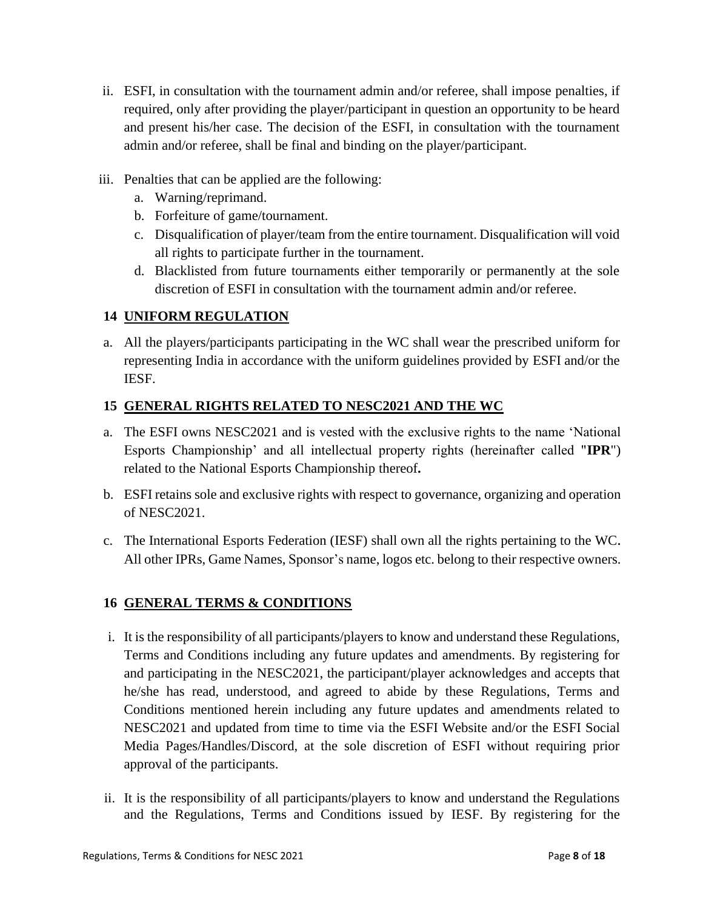- ii. ESFI, in consultation with the tournament admin and/or referee, shall impose penalties, if required, only after providing the player/participant in question an opportunity to be heard and present his/her case. The decision of the ESFI, in consultation with the tournament admin and/or referee, shall be final and binding on the player/participant.
- iii. Penalties that can be applied are the following:
	- a. Warning/reprimand.
	- b. Forfeiture of game/tournament.
	- c. Disqualification of player/team from the entire tournament. Disqualification will void all rights to participate further in the tournament.
	- d. Blacklisted from future tournaments either temporarily or permanently at the sole discretion of ESFI in consultation with the tournament admin and/or referee.

# **14 UNIFORM REGULATION**

a. All the players/participants participating in the WC shall wear the prescribed uniform for representing India in accordance with the uniform guidelines provided by ESFI and/or the IESF.

## **15 GENERAL RIGHTS RELATED TO NESC2021 AND THE WC**

- a. The ESFI owns NESC2021 and is vested with the exclusive rights to the name 'National Esports Championship' and all intellectual property rights (hereinafter called "**IPR**") related to the National Esports Championship thereof**.**
- b. ESFI retains sole and exclusive rights with respect to governance, organizing and operation of NESC2021.
- c. The International Esports Federation (IESF) shall own all the rights pertaining to the WC. All other IPRs, Game Names, Sponsor's name, logos etc. belong to their respective owners.

## **16 GENERAL TERMS & CONDITIONS**

- i. It is the responsibility of all participants/players to know and understand these Regulations, Terms and Conditions including any future updates and amendments. By registering for and participating in the NESC2021, the participant/player acknowledges and accepts that he/she has read, understood, and agreed to abide by these Regulations, Terms and Conditions mentioned herein including any future updates and amendments related to NESC2021 and updated from time to time via the ESFI Website and/or the ESFI Social Media Pages/Handles/Discord, at the sole discretion of ESFI without requiring prior approval of the participants.
- ii. It is the responsibility of all participants/players to know and understand the Regulations and the Regulations, Terms and Conditions issued by IESF. By registering for the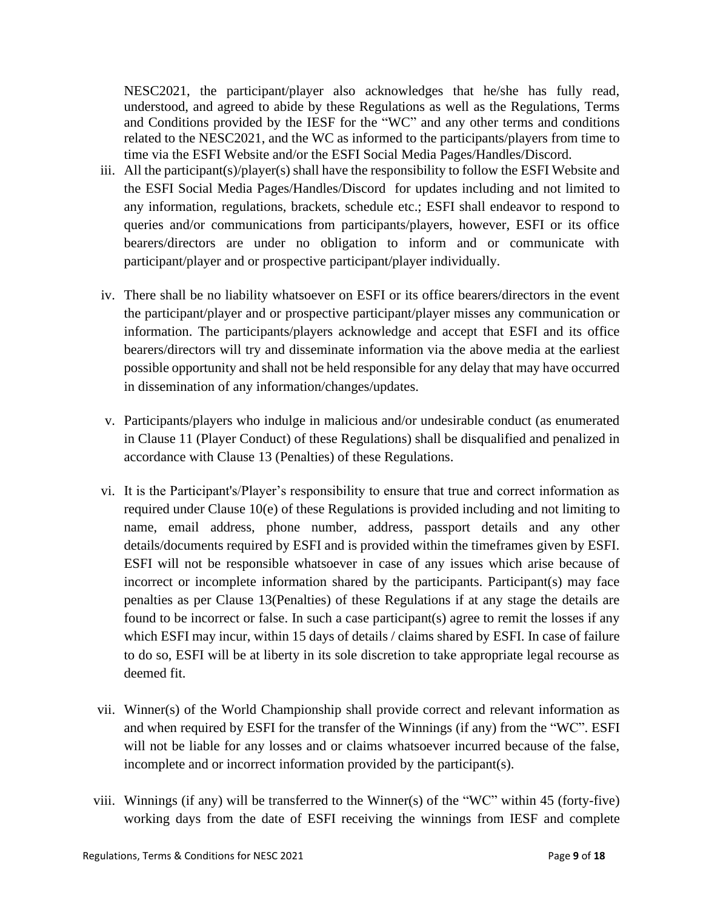NESC2021, the participant/player also acknowledges that he/she has fully read, understood, and agreed to abide by these Regulations as well as the Regulations, Terms and Conditions provided by the IESF for the "WC" and any other terms and conditions related to the NESC2021, and the WC as informed to the participants/players from time to time via the ESFI Website and/or the ESFI Social Media Pages/Handles/Discord.

- iii. All the participant(s)/player(s) shall have the responsibility to follow the ESFI Website and the ESFI Social Media Pages/Handles/Discord for updates including and not limited to any information, regulations, brackets, schedule etc.; ESFI shall endeavor to respond to queries and/or communications from participants/players, however, ESFI or its office bearers/directors are under no obligation to inform and or communicate with participant/player and or prospective participant/player individually.
- iv. There shall be no liability whatsoever on ESFI or its office bearers/directors in the event the participant/player and or prospective participant/player misses any communication or information. The participants/players acknowledge and accept that ESFI and its office bearers/directors will try and disseminate information via the above media at the earliest possible opportunity and shall not be held responsible for any delay that may have occurred in dissemination of any information/changes/updates.
- v. Participants/players who indulge in malicious and/or undesirable conduct (as enumerated in Clause 11 (Player Conduct) of these Regulations) shall be disqualified and penalized in accordance with Clause 13 (Penalties) of these Regulations.
- vi. It is the Participant's/Player's responsibility to ensure that true and correct information as required under Clause 10(e) of these Regulations is provided including and not limiting to name, email address, phone number, address, passport details and any other details/documents required by ESFI and is provided within the timeframes given by ESFI. ESFI will not be responsible whatsoever in case of any issues which arise because of incorrect or incomplete information shared by the participants. Participant(s) may face penalties as per Clause 13(Penalties) of these Regulations if at any stage the details are found to be incorrect or false. In such a case participant(s) agree to remit the losses if any which ESFI may incur, within 15 days of details / claims shared by ESFI. In case of failure to do so, ESFI will be at liberty in its sole discretion to take appropriate legal recourse as deemed fit.
- vii. Winner(s) of the World Championship shall provide correct and relevant information as and when required by ESFI for the transfer of the Winnings (if any) from the "WC". ESFI will not be liable for any losses and or claims whatsoever incurred because of the false, incomplete and or incorrect information provided by the participant(s).
- viii. Winnings (if any) will be transferred to the Winner(s) of the "WC" within 45 (forty-five) working days from the date of ESFI receiving the winnings from IESF and complete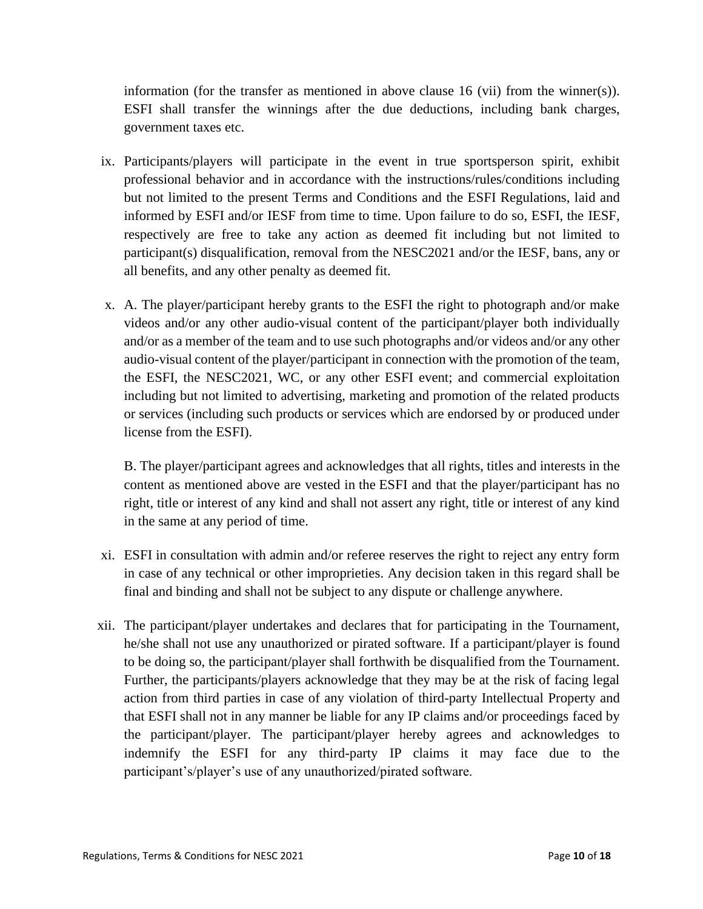information (for the transfer as mentioned in above clause 16 (vii) from the winner(s)). ESFI shall transfer the winnings after the due deductions, including bank charges, government taxes etc.

- ix. Participants/players will participate in the event in true sportsperson spirit, exhibit professional behavior and in accordance with the instructions/rules/conditions including but not limited to the present Terms and Conditions and the ESFI Regulations, laid and informed by ESFI and/or IESF from time to time. Upon failure to do so, ESFI, the IESF, respectively are free to take any action as deemed fit including but not limited to participant(s) disqualification, removal from the NESC2021 and/or the IESF, bans, any or all benefits, and any other penalty as deemed fit.
- x. A. The player/participant hereby grants to the ESFI the right to photograph and/or make videos and/or any other audio-visual content of the participant/player both individually and/or as a member of the team and to use such photographs and/or videos and/or any other audio-visual content of the player/participant in connection with the promotion of the team, the ESFI, the NESC2021, WC, or any other ESFI event; and commercial exploitation including but not limited to advertising, marketing and promotion of the related products or services (including such products or services which are endorsed by or produced under license from the ESFI).

B. The player/participant agrees and acknowledges that all rights, titles and interests in the content as mentioned above are vested in the ESFI and that the player/participant has no right, title or interest of any kind and shall not assert any right, title or interest of any kind in the same at any period of time.

- xi. ESFI in consultation with admin and/or referee reserves the right to reject any entry form in case of any technical or other improprieties. Any decision taken in this regard shall be final and binding and shall not be subject to any dispute or challenge anywhere.
- xii. The participant/player undertakes and declares that for participating in the Tournament, he/she shall not use any unauthorized or pirated software. If a participant/player is found to be doing so, the participant/player shall forthwith be disqualified from the Tournament. Further, the participants/players acknowledge that they may be at the risk of facing legal action from third parties in case of any violation of third-party Intellectual Property and that ESFI shall not in any manner be liable for any IP claims and/or proceedings faced by the participant/player. The participant/player hereby agrees and acknowledges to indemnify the ESFI for any third-party IP claims it may face due to the participant's/player's use of any unauthorized/pirated software.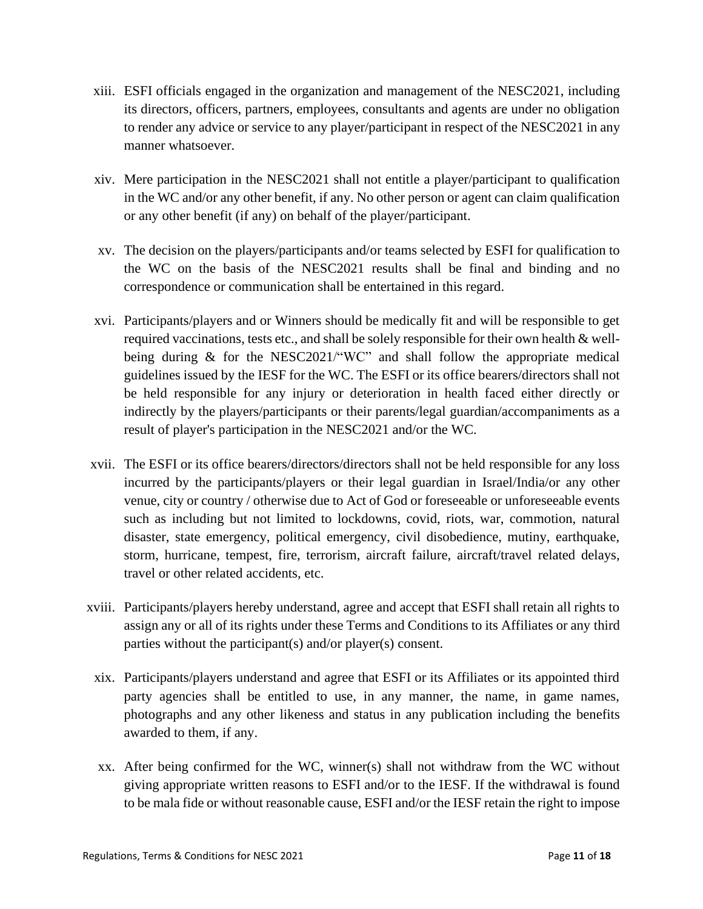- xiii. ESFI officials engaged in the organization and management of the NESC2021, including its directors, officers, partners, employees, consultants and agents are under no obligation to render any advice or service to any player/participant in respect of the NESC2021 in any manner whatsoever.
- xiv. Mere participation in the NESC2021 shall not entitle a player/participant to qualification in the WC and/or any other benefit, if any. No other person or agent can claim qualification or any other benefit (if any) on behalf of the player/participant.
- xv. The decision on the players/participants and/or teams selected by ESFI for qualification to the WC on the basis of the NESC2021 results shall be final and binding and no correspondence or communication shall be entertained in this regard.
- xvi. Participants/players and or Winners should be medically fit and will be responsible to get required vaccinations, tests etc., and shall be solely responsible for their own health & wellbeing during & for the NESC2021/"WC" and shall follow the appropriate medical guidelines issued by the IESF for the WC. The ESFI or its office bearers/directors shall not be held responsible for any injury or deterioration in health faced either directly or indirectly by the players/participants or their parents/legal guardian/accompaniments as a result of player's participation in the NESC2021 and/or the WC.
- xvii. The ESFI or its office bearers/directors/directors shall not be held responsible for any loss incurred by the participants/players or their legal guardian in Israel/India/or any other venue, city or country / otherwise due to Act of God or foreseeable or unforeseeable events such as including but not limited to lockdowns, covid, riots, war, commotion, natural disaster, state emergency, political emergency, civil disobedience, mutiny, earthquake, storm, hurricane, tempest, fire, terrorism, aircraft failure, aircraft/travel related delays, travel or other related accidents, etc.
- xviii. Participants/players hereby understand, agree and accept that ESFI shall retain all rights to assign any or all of its rights under these Terms and Conditions to its Affiliates or any third parties without the participant(s) and/or player(s) consent.
	- xix. Participants/players understand and agree that ESFI or its Affiliates or its appointed third party agencies shall be entitled to use, in any manner, the name, in game names, photographs and any other likeness and status in any publication including the benefits awarded to them, if any.
	- xx. After being confirmed for the WC, winner(s) shall not withdraw from the WC without giving appropriate written reasons to ESFI and/or to the IESF. If the withdrawal is found to be mala fide or without reasonable cause, ESFI and/or the IESF retain the right to impose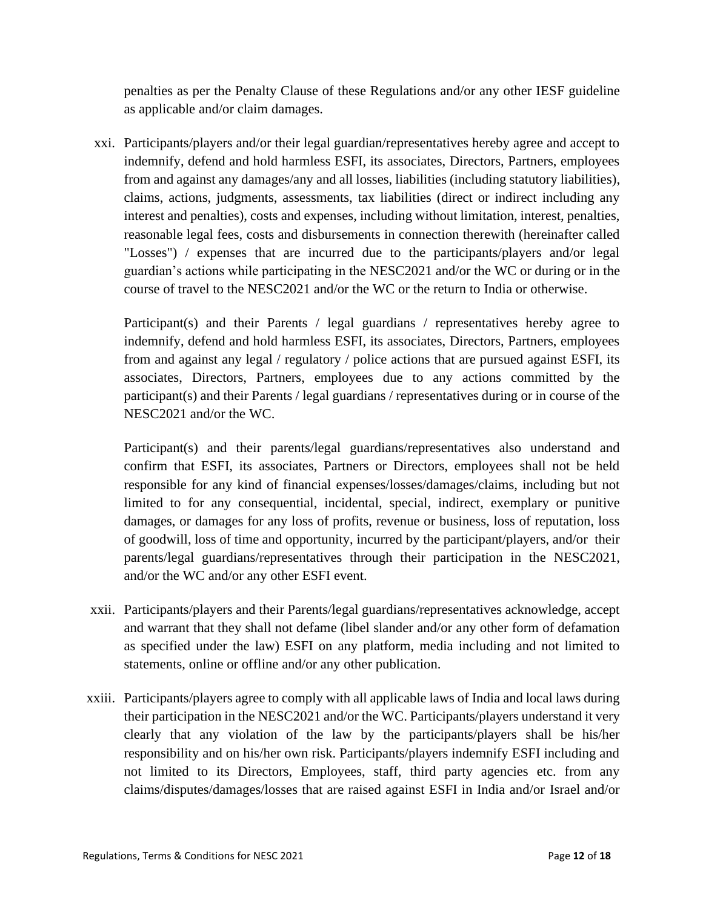penalties as per the Penalty Clause of these Regulations and/or any other IESF guideline as applicable and/or claim damages.

xxi. Participants/players and/or their legal guardian/representatives hereby agree and accept to indemnify, defend and hold harmless ESFI, its associates, Directors, Partners, employees from and against any damages/any and all losses, liabilities (including statutory liabilities), claims, actions, judgments, assessments, tax liabilities (direct or indirect including any interest and penalties), costs and expenses, including without limitation, interest, penalties, reasonable legal fees, costs and disbursements in connection therewith (hereinafter called "Losses") / expenses that are incurred due to the participants/players and/or legal guardian's actions while participating in the NESC2021 and/or the WC or during or in the course of travel to the NESC2021 and/or the WC or the return to India or otherwise.

Participant(s) and their Parents / legal guardians / representatives hereby agree to indemnify, defend and hold harmless ESFI, its associates, Directors, Partners, employees from and against any legal / regulatory / police actions that are pursued against ESFI, its associates, Directors, Partners, employees due to any actions committed by the participant(s) and their Parents / legal guardians / representatives during or in course of the NESC2021 and/or the WC.

Participant(s) and their parents/legal guardians/representatives also understand and confirm that ESFI, its associates, Partners or Directors, employees shall not be held responsible for any kind of financial expenses/losses/damages/claims, including but not limited to for any consequential, incidental, special, indirect, exemplary or punitive damages, or damages for any loss of profits, revenue or business, loss of reputation, loss of goodwill, loss of time and opportunity, incurred by the participant/players, and/or their parents/legal guardians/representatives through their participation in the NESC2021, and/or the WC and/or any other ESFI event.

- xxii. Participants/players and their Parents/legal guardians/representatives acknowledge, accept and warrant that they shall not defame (libel slander and/or any other form of defamation as specified under the law) ESFI on any platform, media including and not limited to statements, online or offline and/or any other publication.
- xxiii. Participants/players agree to comply with all applicable laws of India and local laws during their participation in the NESC2021 and/or the WC. Participants/players understand it very clearly that any violation of the law by the participants/players shall be his/her responsibility and on his/her own risk. Participants/players indemnify ESFI including and not limited to its Directors, Employees, staff, third party agencies etc. from any claims/disputes/damages/losses that are raised against ESFI in India and/or Israel and/or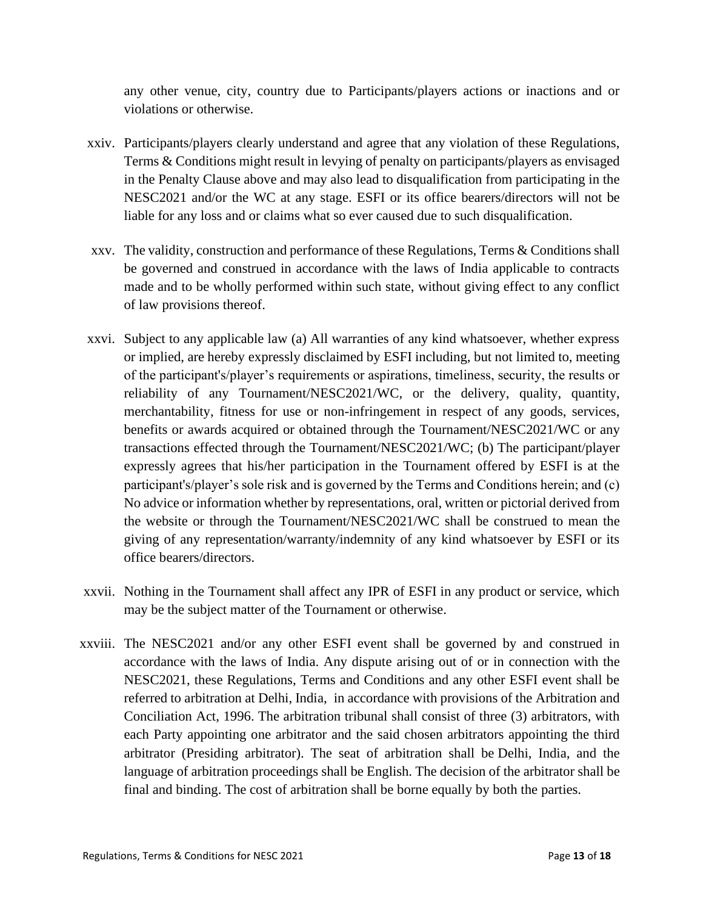any other venue, city, country due to Participants/players actions or inactions and or violations or otherwise.

- xxiv. Participants/players clearly understand and agree that any violation of these Regulations, Terms & Conditions might result in levying of penalty on participants/players as envisaged in the Penalty Clause above and may also lead to disqualification from participating in the NESC2021 and/or the WC at any stage. ESFI or its office bearers/directors will not be liable for any loss and or claims what so ever caused due to such disqualification.
- xxv. The validity, construction and performance of these Regulations, Terms & Conditions shall be governed and construed in accordance with the laws of India applicable to contracts made and to be wholly performed within such state, without giving effect to any conflict of law provisions thereof.
- xxvi. Subject to any applicable law (a) All warranties of any kind whatsoever, whether express or implied, are hereby expressly disclaimed by ESFI including, but not limited to, meeting of the participant's/player's requirements or aspirations, timeliness, security, the results or reliability of any Tournament/NESC2021/WC, or the delivery, quality, quantity, merchantability, fitness for use or non-infringement in respect of any goods, services, benefits or awards acquired or obtained through the Tournament/NESC2021/WC or any transactions effected through the Tournament/NESC2021/WC; (b) The participant/player expressly agrees that his/her participation in the Tournament offered by ESFI is at the participant's/player's sole risk and is governed by the Terms and Conditions herein; and (c) No advice or information whether by representations, oral, written or pictorial derived from the website or through the Tournament/NESC2021/WC shall be construed to mean the giving of any representation/warranty/indemnity of any kind whatsoever by ESFI or its office bearers/directors.
- xxvii. Nothing in the Tournament shall affect any IPR of ESFI in any product or service, which may be the subject matter of the Tournament or otherwise.
- xxviii. The NESC2021 and/or any other ESFI event shall be governed by and construed in accordance with the laws of India. Any dispute arising out of or in connection with the NESC2021, these Regulations, Terms and Conditions and any other ESFI event shall be referred to arbitration at Delhi, India, in accordance with provisions of the Arbitration and Conciliation Act, 1996. The arbitration tribunal shall consist of three (3) arbitrators, with each Party appointing one arbitrator and the said chosen arbitrators appointing the third arbitrator (Presiding arbitrator). The seat of arbitration shall be Delhi, India, and the language of arbitration proceedings shall be English. The decision of the arbitrator shall be final and binding. The cost of arbitration shall be borne equally by both the parties.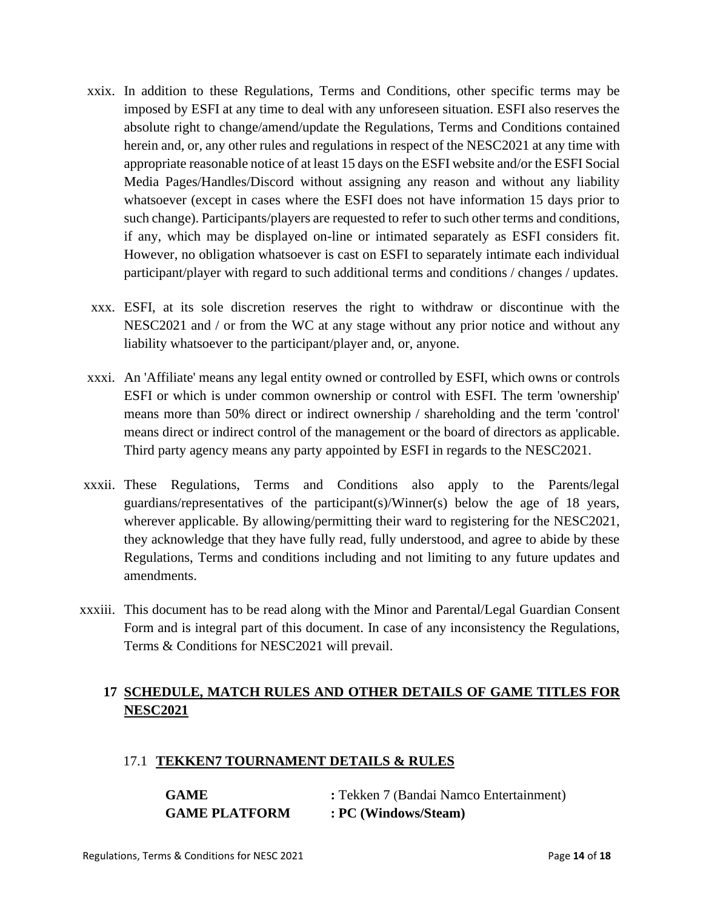- xxix. In addition to these Regulations, Terms and Conditions, other specific terms may be imposed by ESFI at any time to deal with any unforeseen situation. ESFI also reserves the absolute right to change/amend/update the Regulations, Terms and Conditions contained herein and, or, any other rules and regulations in respect of the NESC2021 at any time with appropriate reasonable notice of at least 15 days on the ESFI website and/or the ESFI Social Media Pages/Handles/Discord without assigning any reason and without any liability whatsoever (except in cases where the ESFI does not have information 15 days prior to such change). Participants/players are requested to refer to such other terms and conditions, if any, which may be displayed on-line or intimated separately as ESFI considers fit. However, no obligation whatsoever is cast on ESFI to separately intimate each individual participant/player with regard to such additional terms and conditions / changes / updates.
- xxx. ESFI, at its sole discretion reserves the right to withdraw or discontinue with the NESC2021 and / or from the WC at any stage without any prior notice and without any liability whatsoever to the participant/player and, or, anyone.
- xxxi. An 'Affiliate' means any legal entity owned or controlled by ESFI, which owns or controls ESFI or which is under common ownership or control with ESFI. The term 'ownership' means more than 50% direct or indirect ownership / shareholding and the term 'control' means direct or indirect control of the management or the board of directors as applicable. Third party agency means any party appointed by ESFI in regards to the NESC2021.
- xxxii. These Regulations, Terms and Conditions also apply to the Parents/legal guardians/representatives of the participant(s)/Winner(s) below the age of 18 years, wherever applicable. By allowing/permitting their ward to registering for the NESC2021, they acknowledge that they have fully read, fully understood, and agree to abide by these Regulations, Terms and conditions including and not limiting to any future updates and amendments.
- xxxiii. This document has to be read along with the Minor and Parental/Legal Guardian Consent Form and is integral part of this document. In case of any inconsistency the Regulations, Terms & Conditions for NESC2021 will prevail.

# **17 SCHEDULE, MATCH RULES AND OTHER DETAILS OF GAME TITLES FOR NESC2021**

## 17.1 **TEKKEN7 TOURNAMENT DETAILS & RULES**

| <b>GAME</b>          | : Tekken 7 (Bandai Namco Entertainment) |
|----------------------|-----------------------------------------|
| <b>GAME PLATFORM</b> | : PC (Windows/Steam)                    |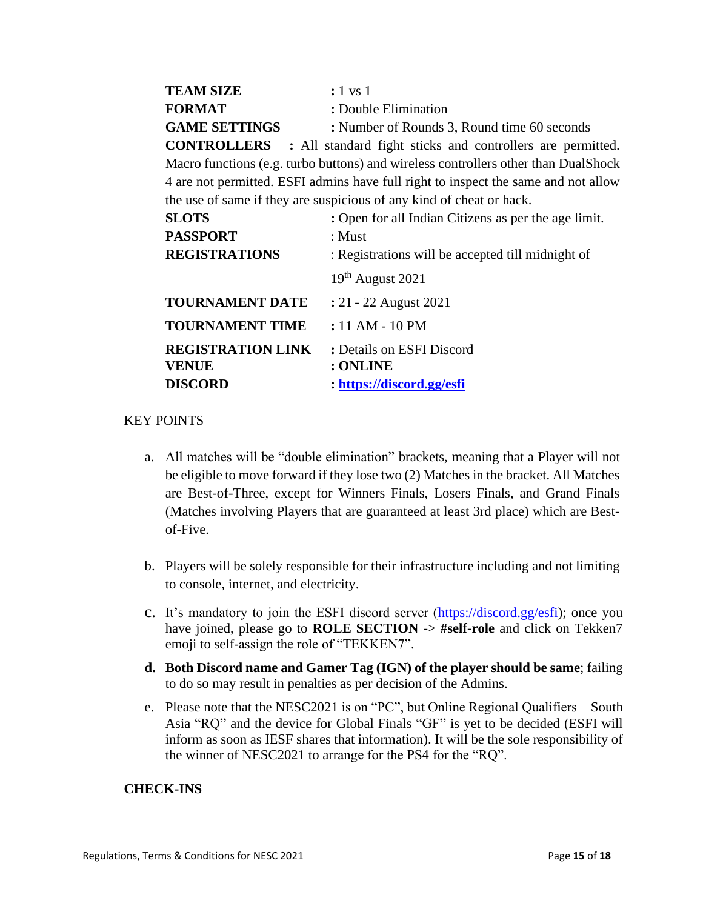| <b>TEAM SIZE</b>     | $: 1$ vs 1                                                                    |
|----------------------|-------------------------------------------------------------------------------|
| <b>FORMAT</b>        | : Double Elimination                                                          |
| <b>GAME SETTINGS</b> | : Number of Rounds 3, Round time 60 seconds                                   |
|                      | <b>CONTROLLERS</b> : All standard fight sticks and controllers are permitted. |

Macro functions (e.g. turbo buttons) and wireless controllers other than DualShock 4 are not permitted. ESFI admins have full right to inspect the same and not allow the use of same if they are suspicious of any kind of cheat or hack.

| <b>SLOTS</b><br><b>PASSPORT</b>                            | : Open for all Indian Citizens as per the age limit.<br>: Must          |
|------------------------------------------------------------|-------------------------------------------------------------------------|
| <b>REGISTRATIONS</b>                                       | : Registrations will be accepted till midnight of<br>$19th$ August 2021 |
| <b>TOURNAMENT DATE</b>                                     | : 21 - 22 August 2021                                                   |
| <b>TOURNAMENT TIME</b>                                     | $: 11 AM - 10 PM$                                                       |
| <b>REGISTRATION LINK</b><br><b>VENUE</b><br><b>DISCORD</b> | : Details on ESFI Discord<br>: ONLINE<br>: https://discord.gg/esfi      |

#### KEY POINTS

- a. All matches will be "double elimination" brackets, meaning that a Player will not be eligible to move forward if they lose two (2) Matches in the bracket. All Matches are Best-of-Three, except for Winners Finals, Losers Finals, and Grand Finals (Matches involving Players that are guaranteed at least 3rd place) which are Bestof-Five.
- b. Players will be solely responsible for their infrastructure including and not limiting to console, internet, and electricity.
- c. It's mandatory to join the ESFI discord server [\(https://discord.gg/esfi\)](https://discord.gg/esfi); once you have joined, please go to **ROLE SECTION** -> **#self-role** and click on Tekken7 emoji to self-assign the role of "TEKKEN7".
- **d. Both Discord name and Gamer Tag (IGN) of the player should be same**; failing to do so may result in penalties as per decision of the Admins.
- e. Please note that the NESC2021 is on "PC", but Online Regional Qualifiers South Asia "RQ" and the device for Global Finals "GF" is yet to be decided (ESFI will inform as soon as IESF shares that information). It will be the sole responsibility of the winner of NESC2021 to arrange for the PS4 for the "RQ".

#### **CHECK-INS**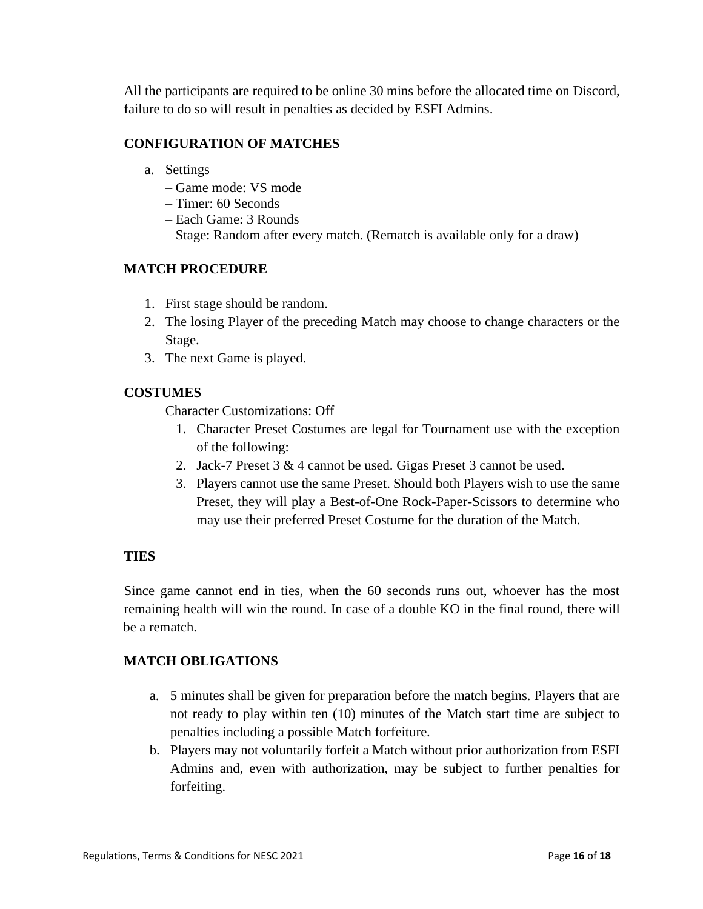All the participants are required to be online 30 mins before the allocated time on Discord, failure to do so will result in penalties as decided by ESFI Admins.

#### **CONFIGURATION OF MATCHES**

- a. Settings
	- Game mode: VS mode
	- Timer: 60 Seconds
	- Each Game: 3 Rounds
	- Stage: Random after every match. (Rematch is available only for a draw)

#### **MATCH PROCEDURE**

- 1. First stage should be random.
- 2. The losing Player of the preceding Match may choose to change characters or the Stage.
- 3. The next Game is played.

#### **COSTUMES**

Character Customizations: Off

- 1. Character Preset Costumes are legal for Tournament use with the exception of the following:
- 2. Jack-7 Preset 3 & 4 cannot be used. Gigas Preset 3 cannot be used.
- 3. Players cannot use the same Preset. Should both Players wish to use the same Preset, they will play a Best-of-One Rock-Paper-Scissors to determine who may use their preferred Preset Costume for the duration of the Match.

#### **TIES**

Since game cannot end in ties, when the 60 seconds runs out, whoever has the most remaining health will win the round. In case of a double KO in the final round, there will be a rematch.

#### **MATCH OBLIGATIONS**

- a. 5 minutes shall be given for preparation before the match begins. Players that are not ready to play within ten (10) minutes of the Match start time are subject to penalties including a possible Match forfeiture.
- b. Players may not voluntarily forfeit a Match without prior authorization from ESFI Admins and, even with authorization, may be subject to further penalties for forfeiting.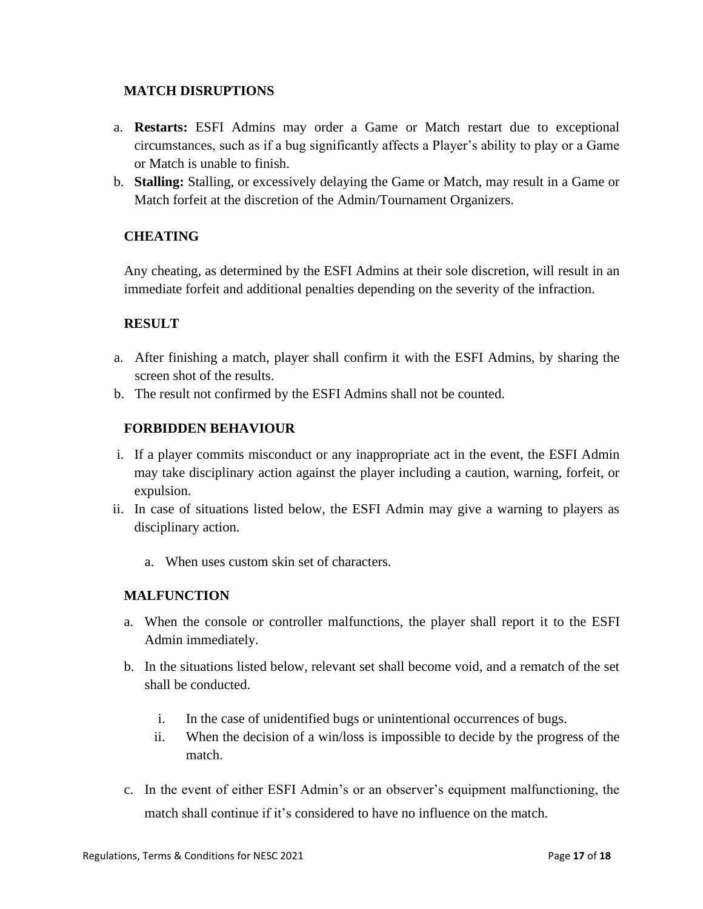### **MATCH DISRUPTIONS**

- a. **Restarts:** ESFI Admins may order a Game or Match restart due to exceptional circumstances, such as if a bug significantly affects a Player's ability to play or a Game or Match is unable to finish.
- b. **Stalling:** Stalling, or excessively delaying the Game or Match, may result in a Game or Match forfeit at the discretion of the Admin/Tournament Organizers.

## **CHEATING**

Any cheating, as determined by the ESFI Admins at their sole discretion, will result in an immediate forfeit and additional penalties depending on the severity of the infraction.

## **RESULT**

- a. After finishing a match, player shall confirm it with the ESFI Admins, by sharing the screen shot of the results.
- b. The result not confirmed by the ESFI Admins shall not be counted.

## **FORBIDDEN BEHAVIOUR**

- i. If a player commits misconduct or any inappropriate act in the event, the ESFI Admin may take disciplinary action against the player including a caution, warning, forfeit, or expulsion.
- ii. In case of situations listed below, the ESFI Admin may give a warning to players as disciplinary action.
	- a. When uses custom skin set of characters.

## **MALFUNCTION**

- a. When the console or controller malfunctions, the player shall report it to the ESFI Admin immediately.
- b. In the situations listed below, relevant set shall become void, and a rematch of the set shall be conducted.
	- i. In the case of unidentified bugs or unintentional occurrences of bugs.
	- ii. When the decision of a win/loss is impossible to decide by the progress of the match.
- c. In the event of either ESFI Admin's or an observer's equipment malfunctioning, the match shall continue if it's considered to have no influence on the match.